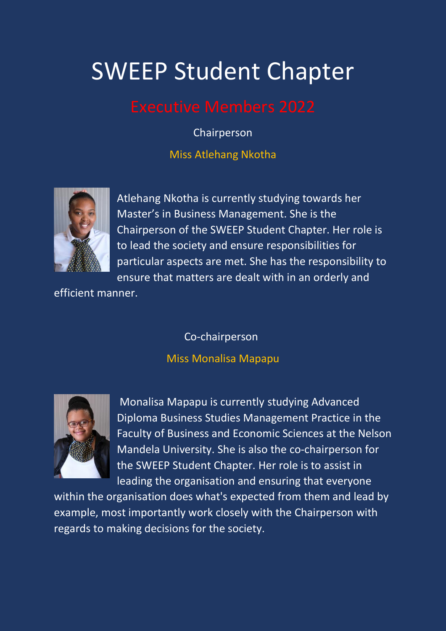# SWEEP Student Chapter

Chairperson

Miss Atlehang Nkotha



Atlehang Nkotha is currently studying towards her Master's in Business Management. She is the Chairperson of the SWEEP Student Chapter. Her role is to lead the society and ensure responsibilities for particular aspects are met. She has the responsibility to ensure that matters are dealt with in an orderly and

efficient manner.

Co-chairperson

# Miss Monalisa Mapapu



Monalisa Mapapu is currently studying Advanced Diploma Business Studies Management Practice in the Faculty of Business and Economic Sciences at the Nelson Mandela University. She is also the co-chairperson for the SWEEP Student Chapter. Her role is to assist in leading the organisation and ensuring that everyone

within the organisation does what's expected from them and lead by example, most importantly work closely with the Chairperson with regards to making decisions for the society.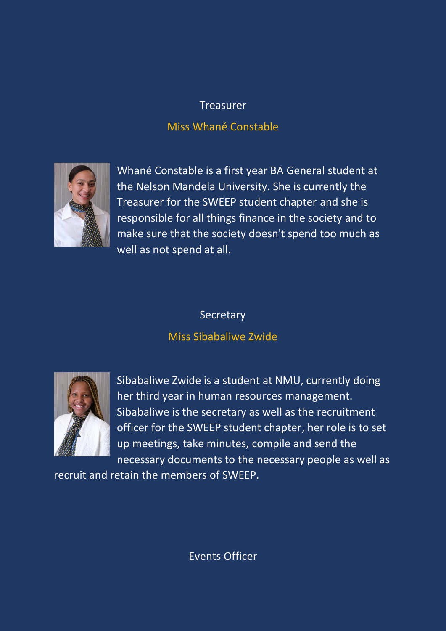# **Treasurer**

# Miss Whané Constable



Whané Constable is a first year BA General student at the Nelson Mandela University. She is currently the Treasurer for the SWEEP student chapter and she is responsible for all things finance in the society and to make sure that the society doesn't spend too much as well as not spend at all.

### **Secretary**

# Miss Sibabaliwe Zwide



Sibabaliwe Zwide is a student at NMU, currently doing her third year in human resources management. Sibabaliwe is the secretary as well as the recruitment officer for the SWEEP student chapter, her role is to set up meetings, take minutes, compile and send the necessary documents to the necessary people as well as

recruit and retain the members of SWEEP.

Events Officer